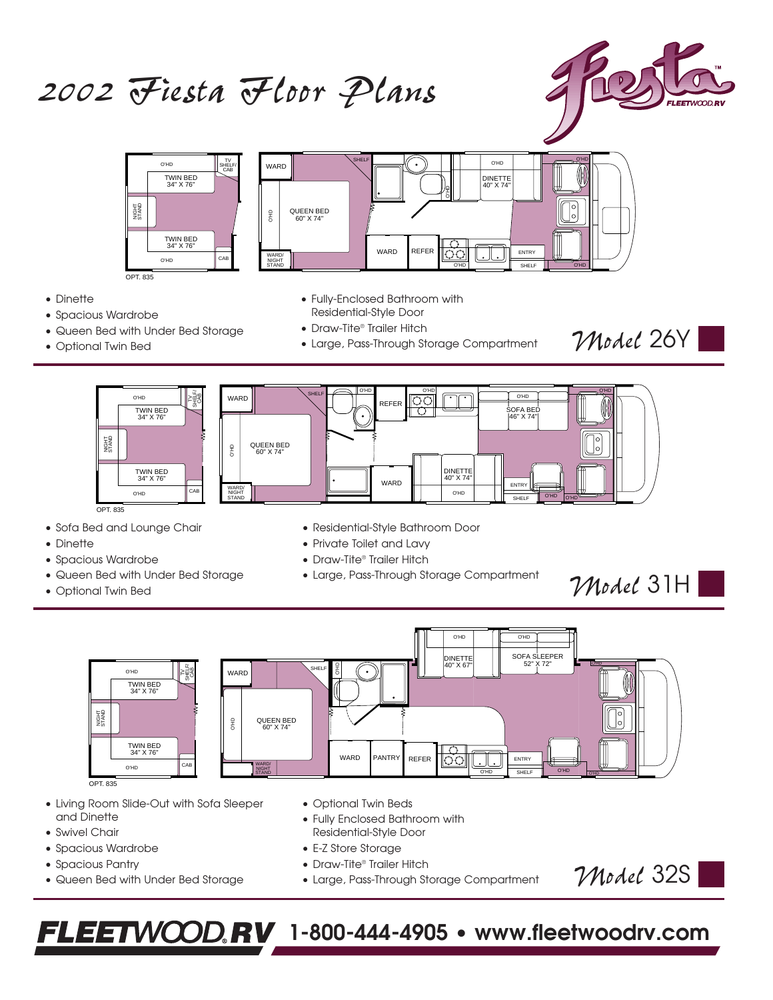# *2002 Fiesta Floor Plans*



*Model* 26Y



• Dinette

- Spacious Wardrobe
- Queen Bed with Under Bed Storage
- Optional Twin Bed
- Fully-Enclosed Bathroom with Residential-Style Door
- Draw-Tite® Trailer Hitch
- Large, Pass-Through Storage Compartment



- Sofa Bed and Lounge Chair
- Dinette
- Spacious Wardrobe
- Queen Bed with Under Bed Storage
- Optional Twin Bed
- Residential-Style Bathroom Door
- Private Toilet and Lavy
- Draw-Tite® Trailer Hitch
- Large, Pass-Through Storage Compartment

O'HD O'HD SOFA SLEEPER 52" X 72" DINETTE 40" X 67" O'HD O'HD SHELF/ O'HD **WARD** SHELF CAB TV TWIN BED 34" X 76" o  $\frac{9}{5}$  $\vert \circ \vert$ QUEEN BED 60" X 74" TWIN BED 34" X 76" Ω WARD PANTRY REFER REFER O'HD WARD/ NIGHT O'HD SHELF O'HD <del>ohd</del> O'HD STAND SHELF

OPT. 835

NIGHT STAND

- Living Room Slide-Out with Sofa Sleeper and Dinette
- Swivel Chair
- Spacious Wardrobe
- Spacious Pantry
- Queen Bed with Under Bed Storage
- Optional Twin Beds
- Fully Enclosed Bathroom with Residential-Style Door
- E-Z Store Storage
- Draw-Tite® Trailer Hitch
- Large, Pass-Through Storage Compartment

*Model* 32S

*Model* 31H

# **FLEETWOOD.RV** 1-800-444-4905 • www.fleetwoodrv.com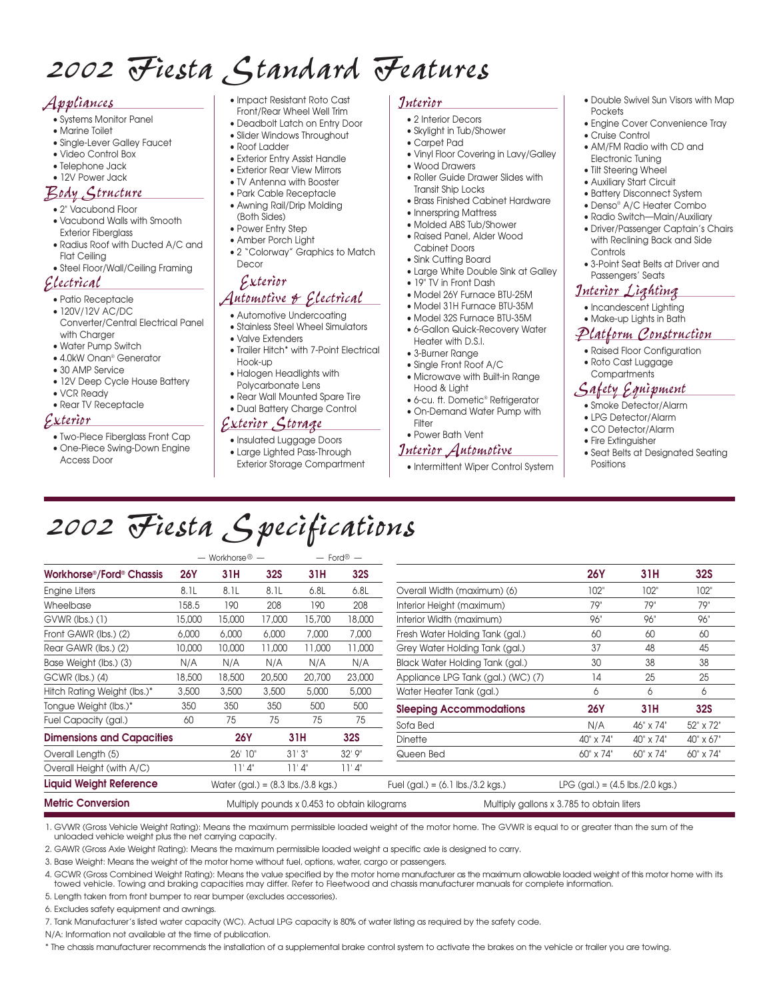# *2002 Fiesta Standard Features*

#### *Appliances*

- Systems Monitor Panel
- Marine Toilet
- Single-Lever Galley Faucet
- Video Control Box
- Telephone Jack • 12V Power Jack
- 

#### *Body Structure* • 2" Vacubond Floor

- Vacubond Walls with Smooth Exterior Fiberglass
- Radius Roof with Ducted A/C and Flat Ceiling
- Steel Floor/Wall/Ceiling Framing

#### *Electrical*

- Patio Receptacle
- 120V/12V AC/DC Converter/Central Electrical Panel with Charaer
- Water Pump Switch
- 4.0kW Onan® Generator
- 30 AMP Service
- 12V Deep Cycle House Battery
- VCR Ready • Rear TV Receptacle
- 

#### *Exterior*

• Two-Piece Fiberglass Front Cap

6. Excludes safety equipment and awnings.

N/A: Information not available at the time of publication.

• One-Piece Swing-Down Engine Access Door

- Impact Resistant Roto Cast Front/Rear Wheel Well Trim
- Deadbolt Latch on Entry Door
- Slider Windows Throughout
- Roof Ladder
- Exterior Entry Assist Handle • Exterior Rear View Mirrors
- TV Antenna with Booster
- Park Cable Receptacle
- Awning Rail/Drip Molding (Both Sides)
- Power Entry Step
- Amber Porch Light
- 2 "Colorway" Graphics to Match Decor

# *Exterior*

## *Automotive & Electrical*

- Automotive Undercoating • Stainless Steel Wheel Simulators
- Valve Extenders
- 
- Trailer Hitch\* with 7-Point Electrical Hook-up • Halogen Headlights with
- Polycarbonate Lens
- Rear Wall Mounted Spare Tire • Dual Battery Charge Control

### *Exterior Storage*

- Insulated Luggage Doors
- Large Lighted Pass-Through
- Exterior Storage Compartment
- *Interior*
	- 2 Interior Decors • Skylight in Tub/Shower
	- Carpet Pad
	- Vinyl Floor Covering in Lavy/Galley
- Wood Drawers
- Roller Guide Drawer Slides with
- Transit Ship Locks • Brass Finished Cabinet Hardware
- Innerspring Mattress
- Molded ABS Tub/Shower
- Raised Panel, Alder Wood Cabinet Doors
- Sink Cutting Board
- Large White Double Sink at Galley
- 19" TV in Front Dash
- Model 26Y Furnace BTU-25M
- Model 31H Furnace BTU-35M
- Model 32S Furnace BTU-35M • 6-Gallon Quick-Recovery Water Heater with D.S.I.
- 3-Burner Range
- Single Front Roof A/C
- Microwave with Built-in Range
- Hood & Light
- 6-cu. ft. Dometic® Refrigerator • On-Demand Water Pump with
- Filter • Power Bath Vent

# *Interior Automotive*

• Intermittent Wiper Control System

- Double Swivel Sun Visors with Map Pockets
- Engine Cover Convenience Tray
- Cruise Control
- AM/FM Radio with CD and Electronic Tuning
- Tilt Steering Wheel
- Auxiliary Start Circuit
- Battery Disconnect System
- Denso® A/C Heater Combo
- Radio Switch—Main/Auxiliary
- Driver/Passenger Captain's Chairs with Reclining Back and Side **Controls**
- 3-Point Seat Belts at Driver and Passengers' Seats

#### *Interior Lighting*

- Incandescent Lighting
- Make-up Lights in Bath

#### *Platform Construction*

- Raised Floor Configuration
- Roto Cast Luggage **Compartments**

# *Safety Equipment*

- Smoke Detector/Alarm
- LPG Detector/Alarm
- CO Detector/Alarm
- Fire Extinguisher
- Seat Belts at Designated Seating Positions

*2002 Fiesta Specifications*

|                                                   | $-$ Workhorse $\textcircled{r}$ $-$ |                                                                                          |            | $-$ Ford <sup>®</sup> $-$ |                                                     |                                    |                                                    |           |            |
|---------------------------------------------------|-------------------------------------|------------------------------------------------------------------------------------------|------------|---------------------------|-----------------------------------------------------|------------------------------------|----------------------------------------------------|-----------|------------|
| Workhorse <sup>®</sup> /Ford <sup>®</sup> Chassis | <b>26Y</b>                          | 31H                                                                                      | <b>32S</b> | 31H                       | <b>32S</b>                                          |                                    | <b>26Y</b>                                         | 31H       | <b>32S</b> |
| Engine Liters                                     | 8.1L                                | 8.1L                                                                                     | 8.1L       | 6.8L                      | 6.8L                                                | Overall Width (maximum) (6)        | 102"                                               | 102"      | 102"       |
| Wheelbase                                         | 158.5                               | 190                                                                                      | 208        | 190                       | 208                                                 | Interior Height (maximum)          | 79"                                                | 79"       | 79"        |
| $GVWR$ (lbs.) $(1)$                               | 15,000                              | 15,000                                                                                   | 17,000     | 15,700                    | 18,000                                              | Interior Width (maximum)           | 96"                                                | 96"       | 96"        |
| Front GAWR (lbs.) (2)                             | 6,000                               | 6,000                                                                                    | 6,000      | 7,000                     | 7,000                                               | Fresh Water Holding Tank (gal.)    | 60                                                 | 60        | 60         |
| Rear GAWR (lbs.) (2)                              | 10,000                              | 10,000                                                                                   | 11,000     | 11,000                    | 11,000                                              | Grey Water Holding Tank (gal.)     | 37                                                 | 48        | 45         |
| Base Weight (lbs.) (3)                            | N/A                                 | N/A                                                                                      | N/A        | N/A                       | N/A                                                 | Black Water Holding Tank (gal.)    | 30                                                 | 38        | 38         |
| $GCWR$ ( $ bs.$ ) (4)                             | 18,500                              | 18,500                                                                                   | 20,500     | 20,700                    | 23,000                                              | Appliance LPG Tank (gal.) (WC) (7) | 14                                                 | 25        | 25         |
| Hitch Rating Weight (lbs.)*                       | 3,500                               | 3,500                                                                                    | 3,500      | 5,000                     | 5,000                                               | Water Heater Tank (gal.)           | 6                                                  | 6         | 6          |
| Tongue Weight (lbs.)*                             | 350                                 | 350                                                                                      | 350        | 500                       | 500                                                 | <b>Sleeping Accommodations</b>     | <b>26Y</b>                                         | 31H       | <b>32S</b> |
| Fuel Capacity (gal.)                              | 60                                  | 75                                                                                       | 75         | 75                        | 75                                                  | Sofa Bed                           | N/A                                                | 46" x 74" | 52" x 72"  |
| <b>Dimensions and Capacities</b>                  |                                     | <b>26Y</b>                                                                               |            | 31H                       | <b>32S</b>                                          | <b>Dinette</b>                     | 40" x 74"                                          | 40" x 74" | 40" x 67"  |
| Overall Length (5)                                |                                     | 26' 10"                                                                                  |            | 31'3''                    | 32' 9"                                              | Queen Bed                          | 60" x 74"                                          | 60" x 74" | 60" x 74"  |
| Overall Height (with A/C)                         |                                     | 11'4'                                                                                    |            | 11'4'                     | 11'4'                                               |                                    |                                                    |           |            |
| <b>Liquid Weight Reference</b>                    |                                     | Water (gal.) = $(8.3 \text{ lbs.}/3.8 \text{ kgs.})$                                     |            |                           | Fuel (gal.) = $(6.1 \text{ lbs.}/3.2 \text{ kgs.})$ |                                    | LPG (gal.) = $(4.5 \text{ lbs.}/2.0 \text{ kgs.})$ |           |            |
| <b>Metric Conversion</b>                          |                                     | Multiply pounds x 0.453 to obtain kilograms<br>Multiply gallons x 3.785 to obtain liters |            |                           |                                                     |                                    |                                                    |           |            |

1. GVWR (Gross Vehicle Weight Rating): Means the maximum permissible loaded weight of the motor home. The GVWR is equal to or greater than the sum of the unloaded vehicle weight plus the net carrying capacity.

\* The chassis manufacturer recommends the installation of a supplemental brake control system to activate the brakes on the vehicle or trailer you are towing.

2. GAWR (Gross Axle Weight Rating): Means the maximum permissible loaded weight a specific axle is designed to carry.

7. Tank Manufacturer's listed water capacity (WC). Actual LPG capacity is 80% of water listing as required by the safety code.

3. Base Weight: Means the weight of the motor home without fuel, options, water, cargo or passengers.

4. GCWR (Gross Combined Weight Rating): Means the value specified by the motor home manufacturer as the maximum allowable loaded weight of this motor home with its towed vehicle. Towing and braking capacities may differ. Refer to Fleetwood and chassis manufacturer manuals for complete information. 5. Length taken from front bumper to rear bumper (excludes accessories).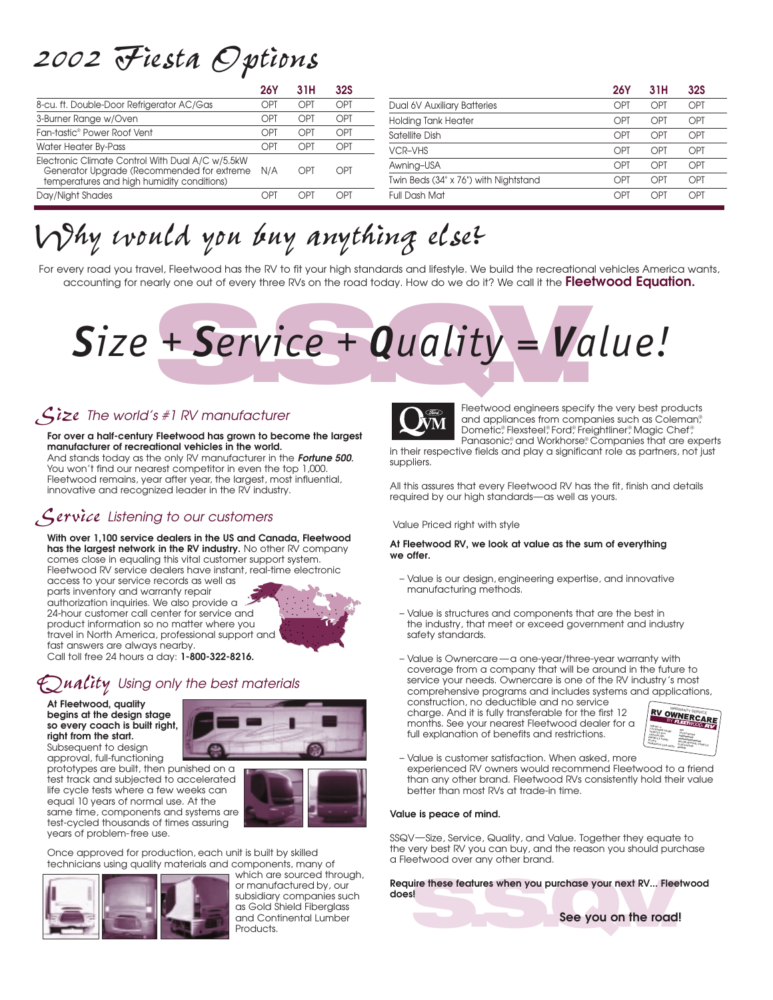# *2002 Fiesta Options*

|                                                                                                    | 26Y        |      | <b>32S</b> |                                       | 26١ |                 | 32S |
|----------------------------------------------------------------------------------------------------|------------|------|------------|---------------------------------------|-----|-----------------|-----|
| 8-cu. ft. Double-Door Refrigerator AC/Gas                                                          |            | רP־  | OPI        | Dual 6V Auxiliary Batteries           | Db. | DP1             | OPT |
| 3-Burner Range w/Oven                                                                              | P1ך        | )Þ.  | OPT        | <b>Holding Tank Heater</b>            | יסר | יקר             | OPT |
| Fan-tastic® Power Roof Vent                                                                        | <b>JPT</b> | .)P™ | OPT        | Satellite Dish                        | JP. | JÞ.             | OPI |
| Water Heater By-Pass                                                                               | P1ך        | )Þ.  | OPI        | <b>VCR-VHS</b>                        | וסך | JÞ.             | OPT |
| Electronic Climate Control With Dual A/C w/5.5kW<br>Generator Upgrade (Recommended for extreme N/A |            | וקר  | OPT        | Awning-USA                            | NP. | וקר             | OPT |
| temperatures and high humidity conditions)                                                         |            |      |            | Twin Beds (34" x 76") with Nightstand | וסר | ∩P`             | OPT |
| Day/Night Shades                                                                                   | `P         | λÞ   | וקר        | Full Dash Mat                         | )Þ. | )P <sup>T</sup> | OPT |

# *Why would you buy anything else?*

For every road you travel, Fleetwood has the RV to fit your high standards and lifestyle. We build the recreational vehicles America wants, accounting for nearly one out of every three RVs on the road today. How do we do it? We call it the **Fleetwood Equation.**

# + Service + Quality = Va *Size + Service + Quality = Value!*

# *Size The world's #1 RV manufacturer*

**For over a half-century Fleetwood has grown to become the largest manufacturer of recreational vehicles in the world.** And stands today as the only RV manufacturer in the *Fortune 500*. You won't find our nearest competitor in even the top 1,000. Fleetwood remains, year after year, the largest, most influential, innovative and recognized leader in the RV industry.

# *Service Listening to our customers*

**With over 1,100 service dealers in the US and Canada, Fleetwood has the largest network in the RV industry.** No other RV company comes close in equaling this vital customer support system. Fleetwood RV service dealers have instant, real-time electronic access to your service records as well as

parts inventory and warranty repair authorization inquiries. We also provide a 24-hour customer call center for service and product information so no matter where you travel in North America, professional support and fast answers are always nearby. Call toll free 24 hours a day: **1-800-322-8216.**

# *Quality Using only the best materials*

**At Fleetwood, quality begins at the design stage so every coach is built right, right from the start.** Subsequent to design



approval, full-functioning prototypes are built, then punished on a test track and subjected to accelerated life cycle tests where a few weeks can equal 10 years of normal use. At the same time, components and systems are test-cycled thousands of times assuring years of problem-free use.



Once approved for production, each unit is built by skilled technicians using quality materials and components, many of

![](_page_2_Picture_16.jpeg)

which are sourced through, or manufactured by, our subsidiary companies such as Gold Shield Fiberglass and Continental Lumber Products.

![](_page_2_Picture_18.jpeg)

Fleetwood engineers specify the very best products and appliances from companies such as Coleman<sup>®</sup>, Dometic®, Flexsteel®, Ford®, Freightliner®, Magic Chef®, Panasonic® , and Workhorse® . Companies that are experts

in their respective fields and play a significant role as partners, not just suppliers.

All this assures that every Fleetwood RV has the fit, finish and details required by our high standards—as well as yours.

Value Priced right with style

#### **At Fleetwood RV, we look at value as the sum of everything we offer.**

- Value is our design, engineering expertise, and innovative manufacturing methods.
- Value is structures and components that are the best in the industry, that meet or exceed government and industry safety standards.
- Value is Ownercare —a one-year/three-year warranty with coverage from a company that will be around in the future to service your needs. Ownercare is one of the RV industry's most comprehensive programs and includes systems and applications,

construction, no deductible and no service charge. And it is fully transferable for the first 12 months. See your nearest Fleetwood dealer for a full explanation of benefits and restrictions.

![](_page_2_Picture_28.jpeg)

– Value is customer satisfaction. When asked, more experienced RV owners would recommend Fleetwood to a friend than any other brand. Fleetwood RVs consistently hold their value better than most RVs at trade-in time.

#### **Value is peace of mind.**

SSQV—Size, Service, Quality, and Value. Together they equate to the very best RV you can buy, and the reason you should purchase a Fleetwood over any other brand.

Require these features when you purchase your next RV... Fleetwood<br>does!<br>See you on the road! **does!**

![](_page_2_Picture_33.jpeg)